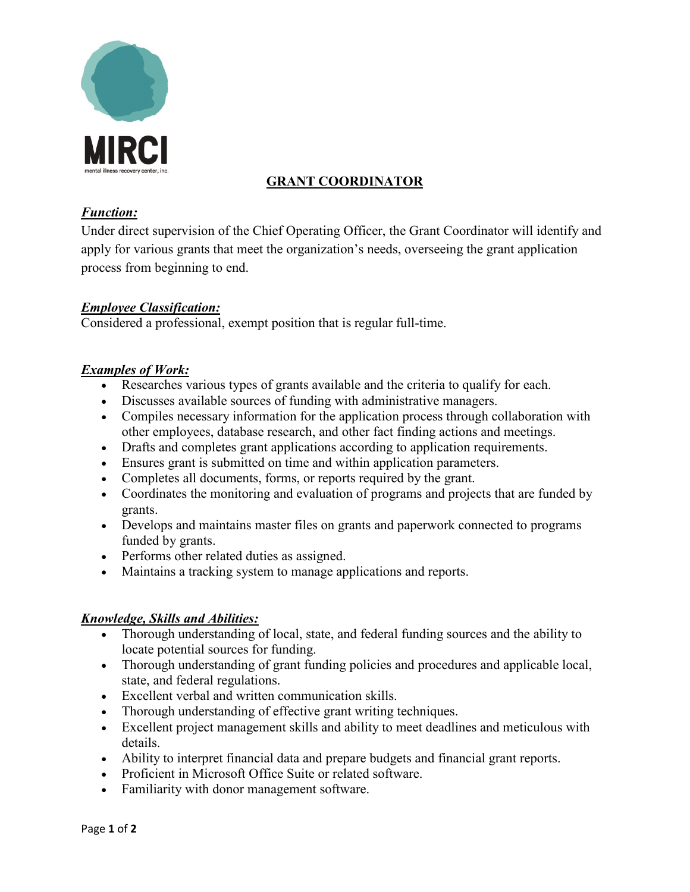

# **GRANT COORDINATOR**

#### *Function:*

Under direct supervision of the Chief Operating Officer, the Grant Coordinator will identify and apply for various grants that meet the organization's needs, overseeing the grant application process from beginning to end.

## *Employee Classification:*

Considered a professional, exempt position that is regular full-time.

#### *Examples of Work:*

- Researches various types of grants available and the criteria to qualify for each.
- Discusses available sources of funding with administrative managers.
- Compiles necessary information for the application process through collaboration with other employees, database research, and other fact finding actions and meetings.
- Drafts and completes grant applications according to application requirements.
- Ensures grant is submitted on time and within application parameters.
- Completes all documents, forms, or reports required by the grant.
- Coordinates the monitoring and evaluation of programs and projects that are funded by grants.
- Develops and maintains master files on grants and paperwork connected to programs funded by grants.
- Performs other related duties as assigned.
- Maintains a tracking system to manage applications and reports.

#### *Knowledge, Skills and Abilities:*

- Thorough understanding of local, state, and federal funding sources and the ability to locate potential sources for funding.
- Thorough understanding of grant funding policies and procedures and applicable local, state, and federal regulations.
- Excellent verbal and written communication skills.
- Thorough understanding of effective grant writing techniques.
- Excellent project management skills and ability to meet deadlines and meticulous with details.
- Ability to interpret financial data and prepare budgets and financial grant reports.
- Proficient in Microsoft Office Suite or related software.
- Familiarity with donor management software.